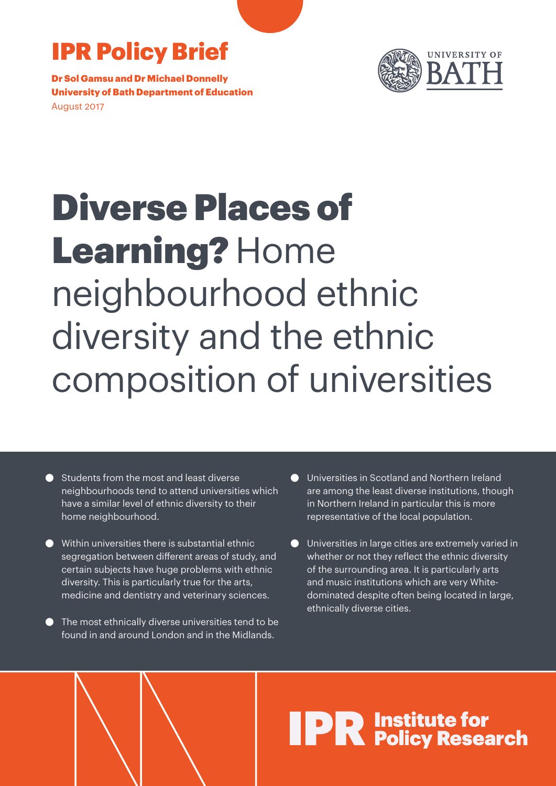# IPR Policy Brief

Dr Sol Gamsu and Dr Michael Donnelly University of Bath Department of Education August 2017



# Diverse Places of Learning? Home neighbourhood ethnic diversity and the ethnic composition of universities

- Students from the most and least diverse neighbourhoods tend to attend universities which have a similar level of ethnic diversity to their home neighbourhood.
- Within universities there is substantial ethnic segregation between different areas of study, and certain subjects have huge problems with ethnic diversity. This is particularly true for the arts, medicine and dentistry and veterinary sciences.
- The most ethnically diverse universities tend to be found in and around London and in the Midlands.
- **Universities in Scotland and Northern Ireland** are among the least diverse institutions, though in Northern Ireland in particular this is more representative of the local population.
- Universities in large cities are extremely varied in whether or not they reflect the ethnic diversity of the surrounding area. It is particularly arts and music institutions which are very Whitedominated despite often being located in large, ethnically diverse cities.

# **IPR** Institute for<br> **IPR** Policy Research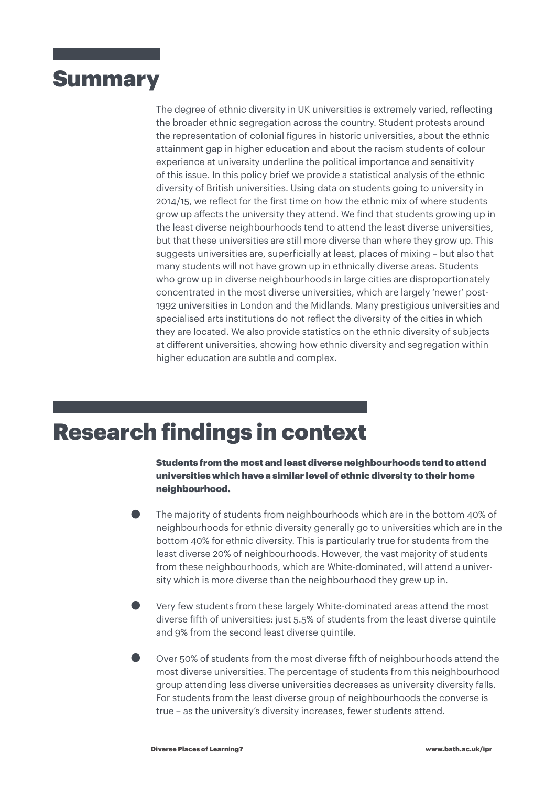### **Summary**

The degree of ethnic diversity in UK universities is extremely varied, reflecting the broader ethnic segregation across the country. Student protests around the representation of colonial figures in historic universities, about the ethnic attainment gap in higher education and about the racism students of colour experience at university underline the political importance and sensitivity of this issue. In this policy brief we provide a statistical analysis of the ethnic diversity of British universities. Using data on students going to university in 2014/15, we reflect for the first time on how the ethnic mix of where students grow up affects the university they attend. We find that students growing up in the least diverse neighbourhoods tend to attend the least diverse universities, but that these universities are still more diverse than where they grow up. This suggests universities are, superficially at least, places of mixing – but also that many students will not have grown up in ethnically diverse areas. Students who grow up in diverse neighbourhoods in large cities are disproportionately concentrated in the most diverse universities, which are largely 'newer' post-1992 universities in London and the Midlands. Many prestigious universities and specialised arts institutions do not reflect the diversity of the cities in which they are located. We also provide statistics on the ethnic diversity of subjects at different universities, showing how ethnic diversity and segregation within higher education are subtle and complex.

## Research findings in context

Students from the most and least diverse neighbourhoods tend to attend universities which have a similar level of ethnic diversity to their home neighbourhood.

- The majority of students from neighbourhoods which are in the bottom 40% of neighbourhoods for ethnic diversity generally go to universities which are in the bottom 40% for ethnic diversity. This is particularly true for students from the least diverse 20% of neighbourhoods. However, the vast majority of students from these neighbourhoods, which are White-dominated, will attend a university which is more diverse than the neighbourhood they grew up in.
- Very few students from these largely White-dominated areas attend the most diverse fifth of universities: just 5.5% of students from the least diverse quintile and 9% from the second least diverse quintile.
- Over 50% of students from the most diverse fifth of neighbourhoods attend the most diverse universities. The percentage of students from this neighbourhood group attending less diverse universities decreases as university diversity falls. For students from the least diverse group of neighbourhoods the converse is true – as the university's diversity increases, fewer students attend.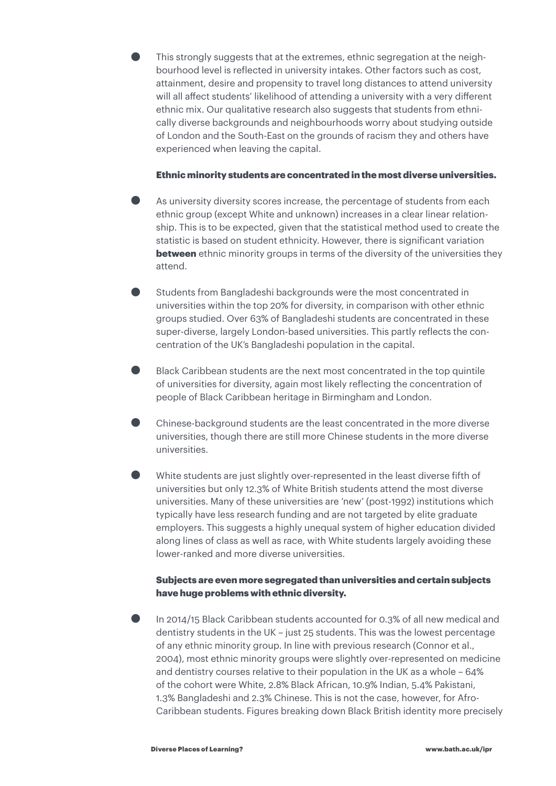• This strongly suggests that at the extremes, ethnic segregation at the neigh-bourhood level is reflected in university intakes. Other factors such as cost, attainment, desire and propensity to travel long distances to attend university will all affect students' likelihood of attending a university with a very different ethnic mix. Our qualitative research also suggests that students from ethnically diverse backgrounds and neighbourhoods worry about studying outside of London and the South-East on the grounds of racism they and others have experienced when leaving the capital.

#### Ethnic minority students are concentrated in the most diverse universities.

- As university diversity scores increase, the percentage of students from each ethnic group (except White and unknown) increases in a clear linear relationship. This is to be expected, given that the statistical method used to create the statistic is based on student ethnicity. However, there is significant variation **between** ethnic minority groups in terms of the diversity of the universities they attend.
- Students from Bangladeshi backgrounds were the most concentrated in universities within the top 20% for diversity, in comparison with other ethnic groups studied. Over 63% of Bangladeshi students are concentrated in these super-diverse, largely London-based universities. This partly reflects the concentration of the UK's Bangladeshi population in the capital.
- Black Caribbean students are the next most concentrated in the top quintile of universities for diversity, again most likely reflecting the concentration of people of Black Caribbean heritage in Birmingham and London.
- Chinese-background students are the least concentrated in the more diverse universities, though there are still more Chinese students in the more diverse universities.
- White students are just slightly over-represented in the least diverse fifth of universities but only 12.3% of White British students attend the most diverse universities. Many of these universities are 'new' (post-1992) institutions which typically have less research funding and are not targeted by elite graduate employers. This suggests a highly unequal system of higher education divided along lines of class as well as race, with White students largely avoiding these lower-ranked and more diverse universities.

#### Subjects are even more segregated than universities and certain subjects have huge problems with ethnic diversity.

• In 2014/15 Black Caribbean students accounted for 0.3% of all new medical and dentistry students in the UK – just 25 students. This was the lowest percentage of any ethnic minority group. In line with previous research (Connor et al., 2004), most ethnic minority groups were slightly over-represented on medicine and dentistry courses relative to their population in the UK as a whole – 64% of the cohort were White, 2.8% Black African, 10.9% Indian, 5.4% Pakistani, 1.3% Bangladeshi and 2.3% Chinese. This is not the case, however, for Afro-Caribbean students. Figures breaking down Black British identity more precisely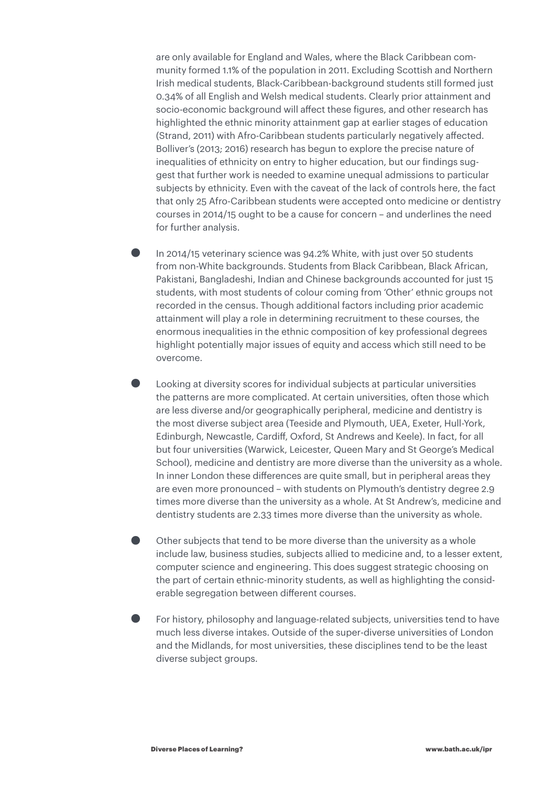are only available for England and Wales, where the Black Caribbean community formed 1.1% of the population in 2011. Excluding Scottish and Northern Irish medical students, Black-Caribbean-background students still formed just 0.34% of all English and Welsh medical students. Clearly prior attainment and socio-economic background will affect these figures, and other research has highlighted the ethnic minority attainment gap at earlier stages of education (Strand, 2011) with Afro-Caribbean students particularly negatively affected. Bolliver's (2013; 2016) research has begun to explore the precise nature of inequalities of ethnicity on entry to higher education, but our findings suggest that further work is needed to examine unequal admissions to particular subjects by ethnicity. Even with the caveat of the lack of controls here, the fact that only 25 Afro-Caribbean students were accepted onto medicine or dentistry courses in 2014/15 ought to be a cause for concern – and underlines the need for further analysis.

- In 2014/15 veterinary science was 94.2% White, with just over 50 students from non-White backgrounds. Students from Black Caribbean, Black African, Pakistani, Bangladeshi, Indian and Chinese backgrounds accounted for just 15 students, with most students of colour coming from 'Other' ethnic groups not recorded in the census. Though additional factors including prior academic attainment will play a role in determining recruitment to these courses, the enormous inequalities in the ethnic composition of key professional degrees highlight potentially major issues of equity and access which still need to be overcome.
- Looking at diversity scores for individual subjects at particular universities the patterns are more complicated. At certain universities, often those which are less diverse and/or geographically peripheral, medicine and dentistry is the most diverse subject area (Teeside and Plymouth, UEA, Exeter, Hull-York, Edinburgh, Newcastle, Cardiff, Oxford, St Andrews and Keele). In fact, for all but four universities (Warwick, Leicester, Queen Mary and St George's Medical School), medicine and dentistry are more diverse than the university as a whole. In inner London these differences are quite small, but in peripheral areas they are even more pronounced – with students on Plymouth's dentistry degree 2.9 times more diverse than the university as a whole. At St Andrew's, medicine and dentistry students are 2.33 times more diverse than the university as whole.
- Other subjects that tend to be more diverse than the university as a whole include law, business studies, subjects allied to medicine and, to a lesser extent, computer science and engineering. This does suggest strategic choosing on the part of certain ethnic-minority students, as well as highlighting the considerable segregation between different courses.
- For history, philosophy and language-related subjects, universities tend to have much less diverse intakes. Outside of the super-diverse universities of London and the Midlands, for most universities, these disciplines tend to be the least diverse subject groups.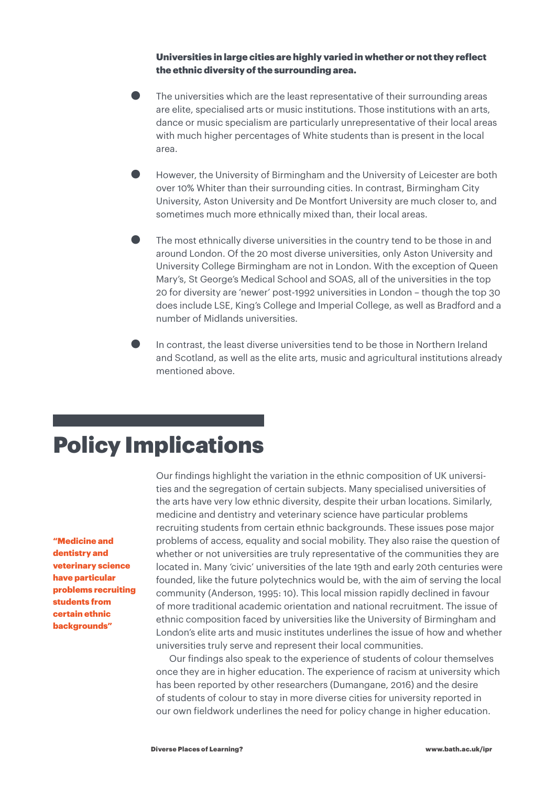Universities in large cities are highly varied in whether or not they reflect the ethnic diversity of the surrounding area.

- The universities which are the least representative of their surrounding areas are elite, specialised arts or music institutions. Those institutions with an arts, dance or music specialism are particularly unrepresentative of their local areas with much higher percentages of White students than is present in the local area.
- However, the University of Birmingham and the University of Leicester are both over 10% Whiter than their surrounding cities. In contrast, Birmingham City University, Aston University and De Montfort University are much closer to, and sometimes much more ethnically mixed than, their local areas.
- $\bullet$  The most ethnically diverse universities in the country tend to be those in and around London. Of the 20 most diverse universities, only Aston University and University College Birmingham are not in London. With the exception of Queen Mary's, St George's Medical School and SOAS, all of the universities in the top 20 for diversity are 'newer' post-1992 universities in London – though the top 30 does include LSE, King's College and Imperial College, as well as Bradford and a number of Midlands universities.
- In contrast, the least diverse universities tend to be those in Northern Ireland and Scotland, as well as the elite arts, music and agricultural institutions already mentioned above.

## Policy Implications

"Medicine and dentistry and veterinary science have particular problems recruiting students from certain ethnic backgrounds"

Our findings highlight the variation in the ethnic composition of UK universities and the segregation of certain subjects. Many specialised universities of the arts have very low ethnic diversity, despite their urban locations. Similarly, medicine and dentistry and veterinary science have particular problems recruiting students from certain ethnic backgrounds. These issues pose major problems of access, equality and social mobility. They also raise the question of whether or not universities are truly representative of the communities they are located in. Many 'civic' universities of the late 19th and early 20th centuries were founded, like the future polytechnics would be, with the aim of serving the local community (Anderson, 1995: 10). This local mission rapidly declined in favour of more traditional academic orientation and national recruitment. The issue of ethnic composition faced by universities like the University of Birmingham and London's elite arts and music institutes underlines the issue of how and whether universities truly serve and represent their local communities.

Our findings also speak to the experience of students of colour themselves once they are in higher education. The experience of racism at university which has been reported by other researchers (Dumangane, 2016) and the desire of students of colour to stay in more diverse cities for university reported in our own fieldwork underlines the need for policy change in higher education.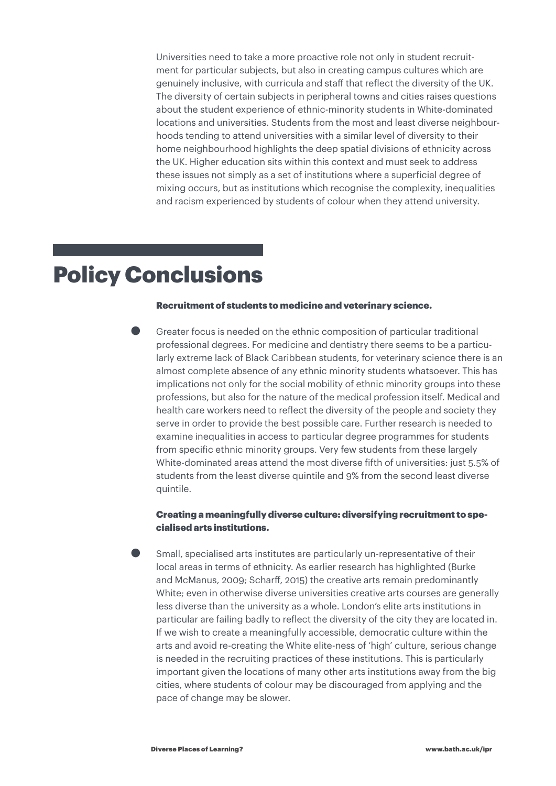Universities need to take a more proactive role not only in student recruitment for particular subjects, but also in creating campus cultures which are genuinely inclusive, with curricula and staff that reflect the diversity of the UK. The diversity of certain subjects in peripheral towns and cities raises questions about the student experience of ethnic-minority students in White-dominated locations and universities. Students from the most and least diverse neighbourhoods tending to attend universities with a similar level of diversity to their home neighbourhood highlights the deep spatial divisions of ethnicity across the UK. Higher education sits within this context and must seek to address these issues not simply as a set of institutions where a superficial degree of mixing occurs, but as institutions which recognise the complexity, inequalities and racism experienced by students of colour when they attend university.

### Policy Conclusions

#### Recruitment of students to medicine and veterinary science.

• Greater focus is needed on the ethnic composition of particular traditional professional degrees. For medicine and dentistry there seems to be a particularly extreme lack of Black Caribbean students, for veterinary science there is an almost complete absence of any ethnic minority students whatsoever. This has implications not only for the social mobility of ethnic minority groups into these professions, but also for the nature of the medical profession itself. Medical and health care workers need to reflect the diversity of the people and society they serve in order to provide the best possible care. Further research is needed to examine inequalities in access to particular degree programmes for students from specific ethnic minority groups. Very few students from these largely White-dominated areas attend the most diverse fifth of universities: just 5.5% of students from the least diverse quintile and 9% from the second least diverse quintile.

#### Creating a meaningfully diverse culture: diversifying recruitment to specialised arts institutions.

• Small, specialised arts institutes are particularly un-representative of their local areas in terms of ethnicity. As earlier research has highlighted (Burke and McManus, 2009; Scharff, 2015) the creative arts remain predominantly White; even in otherwise diverse universities creative arts courses are generally less diverse than the university as a whole. London's elite arts institutions in particular are failing badly to reflect the diversity of the city they are located in. If we wish to create a meaningfully accessible, democratic culture within the arts and avoid re-creating the White elite-ness of 'high' culture, serious change is needed in the recruiting practices of these institutions. This is particularly important given the locations of many other arts institutions away from the big cities, where students of colour may be discouraged from applying and the pace of change may be slower.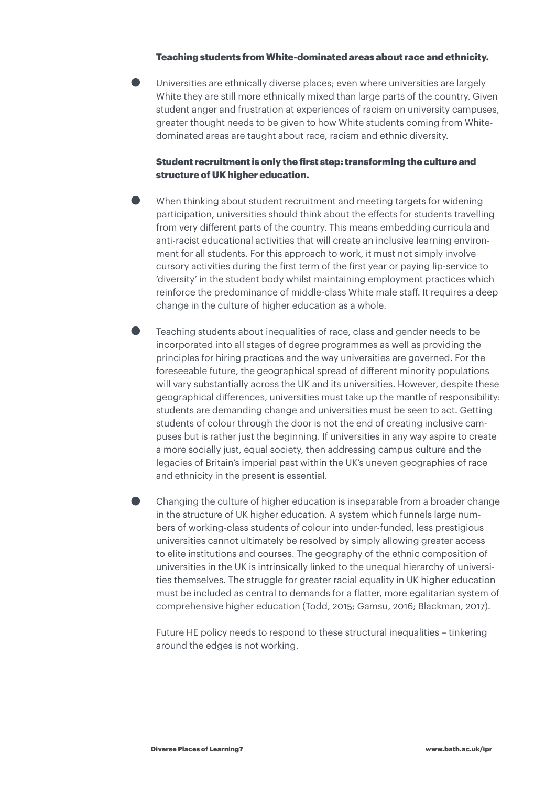#### Teaching students from White-dominated areas about race and ethnicity.

• Universities are ethnically diverse places; even where universities are largely White they are still more ethnically mixed than large parts of the country. Given student anger and frustration at experiences of racism on university campuses, greater thought needs to be given to how White students coming from Whitedominated areas are taught about race, racism and ethnic diversity.

#### Student recruitment is only the first step: transforming the culture and structure of UK higher education.

- When thinking about student recruitment and meeting targets for widening participation, universities should think about the effects for students travelling from very different parts of the country. This means embedding curricula and anti-racist educational activities that will create an inclusive learning environment for all students. For this approach to work, it must not simply involve cursory activities during the first term of the first year or paying lip-service to 'diversity' in the student body whilst maintaining employment practices which reinforce the predominance of middle-class White male staff. It requires a deep change in the culture of higher education as a whole.
- Teaching students about inequalities of race, class and gender needs to be incorporated into all stages of degree programmes as well as providing the principles for hiring practices and the way universities are governed. For the foreseeable future, the geographical spread of different minority populations will vary substantially across the UK and its universities. However, despite these geographical differences, universities must take up the mantle of responsibility: students are demanding change and universities must be seen to act. Getting students of colour through the door is not the end of creating inclusive campuses but is rather just the beginning. If universities in any way aspire to create a more socially just, equal society, then addressing campus culture and the legacies of Britain's imperial past within the UK's uneven geographies of race and ethnicity in the present is essential.
- Changing the culture of higher education is inseparable from a broader change in the structure of UK higher education. A system which funnels large numbers of working-class students of colour into under-funded, less prestigious universities cannot ultimately be resolved by simply allowing greater access to elite institutions and courses. The geography of the ethnic composition of universities in the UK is intrinsically linked to the unequal hierarchy of universities themselves. The struggle for greater racial equality in UK higher education must be included as central to demands for a flatter, more egalitarian system of comprehensive higher education (Todd, 2015; Gamsu, 2016; Blackman, 2017).

Future HE policy needs to respond to these structural inequalities – tinkering around the edges is not working.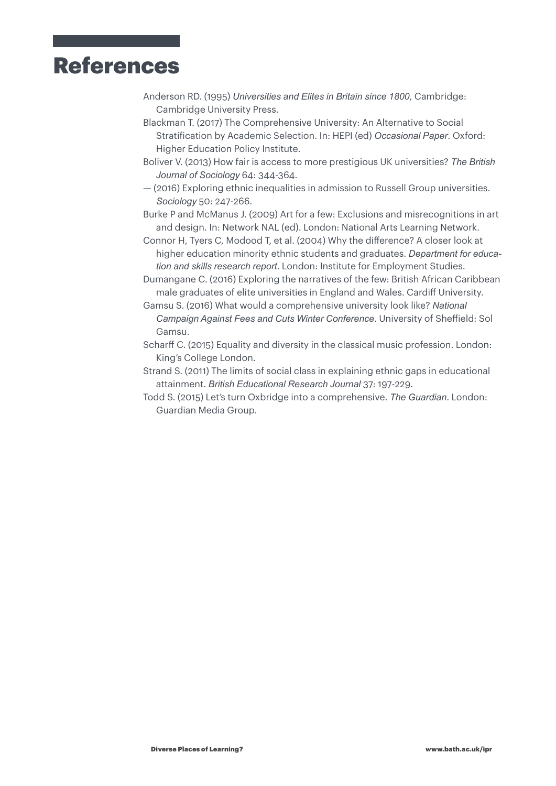# References

- Anderson RD. (1995) *Universities and Elites in Britain since 1800*, Cambridge: Cambridge University Press.
- Blackman T. (2017) The Comprehensive University: An Alternative to Social Stratification by Academic Selection. In: HEPI (ed) *Occasional Paper*. Oxford: Higher Education Policy Institute.
- Boliver V. (2013) How fair is access to more prestigious UK universities? *The British Journal of Sociology* 64: 344-364.
- (2016) Exploring ethnic inequalities in admission to Russell Group universities. *Sociology* 50: 247-266.
- Burke P and McManus J. (2009) Art for a few: Exclusions and misrecognitions in art and design. In: Network NAL (ed). London: National Arts Learning Network.
- Connor H, Tyers C, Modood T, et al. (2004) Why the difference? A closer look at higher education minority ethnic students and graduates. *Department for education and skills research report*. London: Institute for Employment Studies.
- Dumangane C. (2016) Exploring the narratives of the few: British African Caribbean male graduates of elite universities in England and Wales. Cardiff University.
- Gamsu S. (2016) What would a comprehensive university look like? *National Campaign Against Fees and Cuts Winter Conference*. University of Sheffield: Sol Gamsu.
- Scharff C. (2015) Equality and diversity in the classical music profession. London: King's College London.
- Strand S. (2011) The limits of social class in explaining ethnic gaps in educational attainment. *British Educational Research Journal* 37: 197-229.
- Todd S. (2015) Let's turn Oxbridge into a comprehensive. *The Guardian*. London: Guardian Media Group.